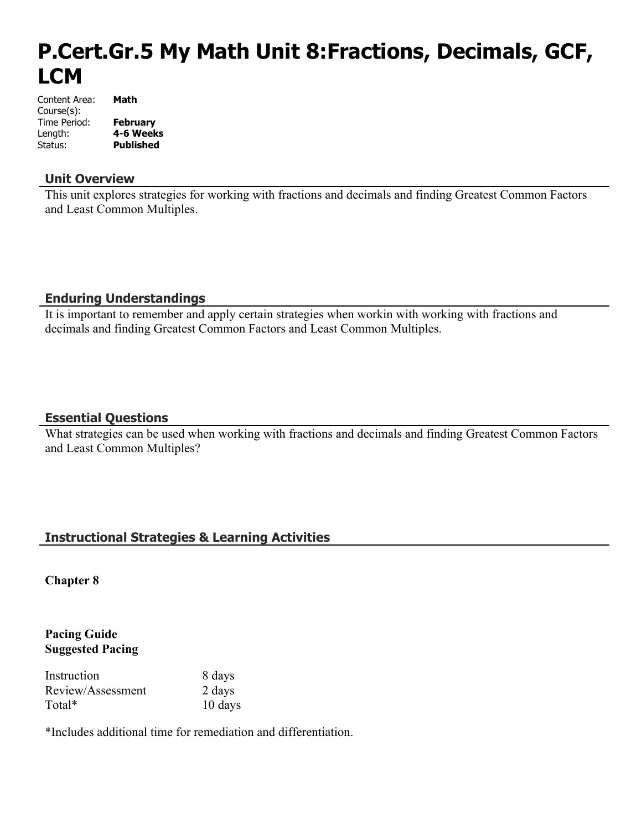# **P.Cert.Gr.5 My Math Unit 8:Fractions, Decimals, GCF, LCM**

| Content Area: | Math             |
|---------------|------------------|
| Course(s):    |                  |
| Time Period:  | <b>February</b>  |
| Length:       | 4-6 Weeks        |
| Status:       | <b>Published</b> |

#### **Unit Overview**

This unit explores strategies for working with fractions and decimals and finding Greatest Common Factors and Least Common Multiples.

### **Enduring Understandings**

It is important to remember and apply certain strategies when workin with working with fractions and decimals and finding Greatest Common Factors and Least Common Multiples.

### **Essential Questions**

What strategies can be used when working with fractions and decimals and finding Greatest Common Factors and Least Common Multiples?

## **Instructional Strategies & Learning Activities**

**Chapter 8**

### **Pacing Guide Suggested Pacing**

| Instruction       | 8 days  |
|-------------------|---------|
| Review/Assessment | 2 days  |
| Total*            | 10 days |

\*Includes additional time for remediation and differentiation.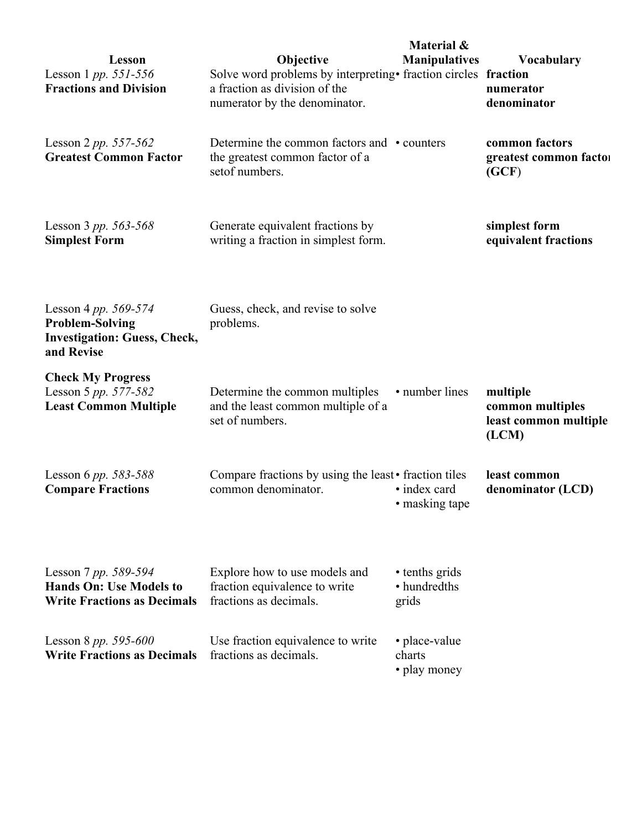| <b>Lesson</b><br>Lesson 1 pp. 551-556<br><b>Fractions and Division</b>                              | Objective<br>Solve word problems by interpreting • fraction circles fraction<br>a fraction as division of the<br>numerator by the denominator. | Material &<br><b>Manipulatives</b>      | Vocabulary<br>numerator<br>denominator                         |
|-----------------------------------------------------------------------------------------------------|------------------------------------------------------------------------------------------------------------------------------------------------|-----------------------------------------|----------------------------------------------------------------|
| Lesson 2 pp. $557-562$<br><b>Greatest Common Factor</b>                                             | Determine the common factors and • counters<br>the greatest common factor of a<br>setof numbers.                                               |                                         | common factors<br>greatest common factor<br>(GCF)              |
| Lesson 3 pp. 563-568<br><b>Simplest Form</b>                                                        | Generate equivalent fractions by<br>writing a fraction in simplest form.                                                                       |                                         | simplest form<br>equivalent fractions                          |
| Lesson 4 pp. 569-574<br><b>Problem-Solving</b><br><b>Investigation: Guess, Check,</b><br>and Revise | Guess, check, and revise to solve<br>problems.                                                                                                 |                                         |                                                                |
| <b>Check My Progress</b><br>Lesson 5 pp. 577-582<br><b>Least Common Multiple</b>                    | Determine the common multiples<br>and the least common multiple of a<br>set of numbers.                                                        | • number lines                          | multiple<br>common multiples<br>least common multiple<br>(LCM) |
| Lesson 6 pp. 583-588<br><b>Compare Fractions</b>                                                    | Compare fractions by using the least • fraction tiles<br>common denominator.                                                                   | • index card<br>• masking tape          | least common<br>denominator (LCD)                              |
| Lesson 7 pp. 589-594<br><b>Hands On: Use Models to</b><br><b>Write Fractions as Decimals</b>        | Explore how to use models and<br>fraction equivalence to write<br>fractions as decimals.                                                       | • tenths grids<br>• hundredths<br>grids |                                                                |
| Lesson 8 pp. 595-600<br><b>Write Fractions as Decimals</b>                                          | Use fraction equivalence to write<br>fractions as decimals.                                                                                    | • place-value<br>charts<br>• play money |                                                                |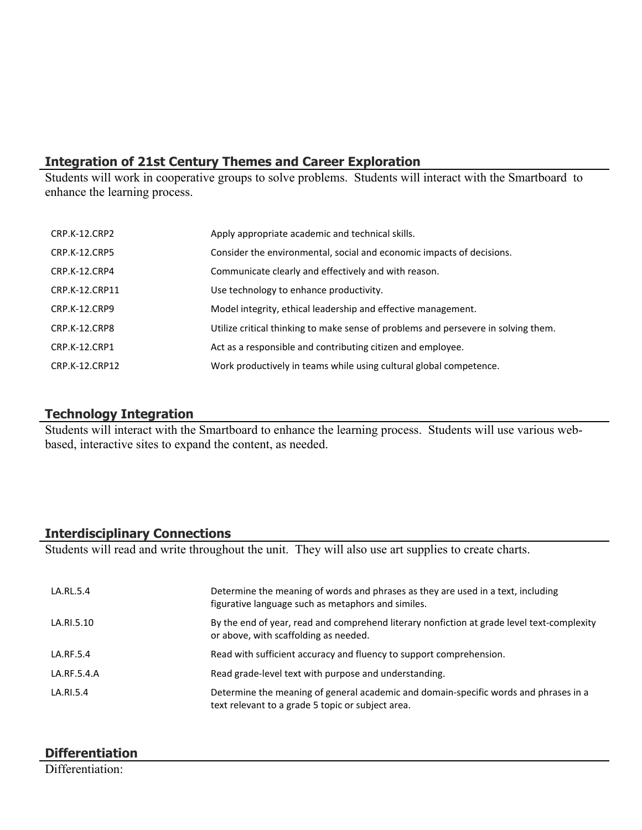# **Integration of 21st Century Themes and Career Exploration**

Students will work in cooperative groups to solve problems. Students will interact with the Smartboard to enhance the learning process.

| CRP.K-12.CRP2        | Apply appropriate academic and technical skills.                                   |
|----------------------|------------------------------------------------------------------------------------|
| <b>CRP.K-12.CRP5</b> | Consider the environmental, social and economic impacts of decisions.              |
| CRP.K-12.CRP4        | Communicate clearly and effectively and with reason.                               |
| CRP.K-12.CRP11       | Use technology to enhance productivity.                                            |
| CRP.K-12.CRP9        | Model integrity, ethical leadership and effective management.                      |
| CRP.K-12.CRP8        | Utilize critical thinking to make sense of problems and persevere in solving them. |
| CRP.K-12.CRP1        | Act as a responsible and contributing citizen and employee.                        |
| CRP.K-12.CRP12       | Work productively in teams while using cultural global competence.                 |

## **Technology Integration**

Students will interact with the Smartboard to enhance the learning process. Students will use various webbased, interactive sites to expand the content, as needed.

# **Interdisciplinary Connections**

Students will read and write throughout the unit. They will also use art supplies to create charts.

| LA.RL.5.4   | Determine the meaning of words and phrases as they are used in a text, including<br>figurative language such as metaphors and similes.    |
|-------------|-------------------------------------------------------------------------------------------------------------------------------------------|
| LA.RI.5.10  | By the end of year, read and comprehend literary nonfiction at grade level text-complexity<br>or above, with scaffolding as needed.       |
| LA.RF.5.4   | Read with sufficient accuracy and fluency to support comprehension.                                                                       |
| LA.RF.5.4.A | Read grade-level text with purpose and understanding.                                                                                     |
| LA.RI.5.4   | Determine the meaning of general academic and domain-specific words and phrases in a<br>text relevant to a grade 5 topic or subject area. |

# **Differentiation**

Differentiation<sup>.</sup>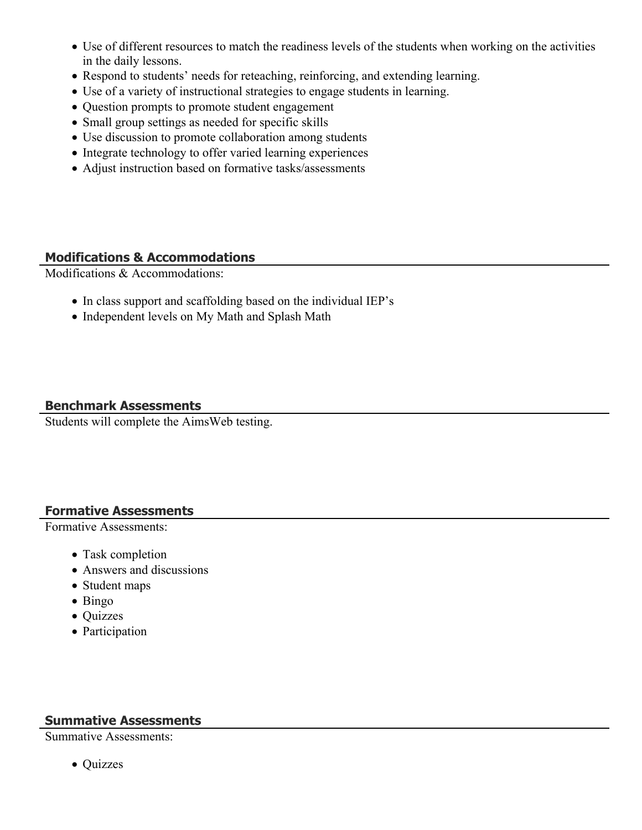- Use of different resources to match the readiness levels of the students when working on the activities in the daily lessons.
- Respond to students' needs for reteaching, reinforcing, and extending learning.
- Use of a variety of instructional strategies to engage students in learning.
- Question prompts to promote student engagement
- Small group settings as needed for specific skills
- Use discussion to promote collaboration among students
- Integrate technology to offer varied learning experiences
- Adjust instruction based on formative tasks/assessments

## **Modifications & Accommodations**

Modifications & Accommodations:

- In class support and scaffolding based on the individual IEP's
- Independent levels on My Math and Splash Math

## **Benchmark Assessments**

Students will complete the AimsWeb testing.

### **Formative Assessments**

Formative Assessments:

- Task completion
- Answers and discussions
- Student maps
- Bingo
- Quizzes
- Participation

## **Summative Assessments**

Summative Assessments:

• Quizzes